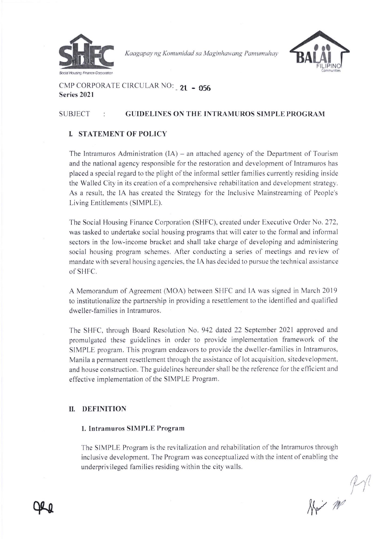

Kaagapay ng Komunidad sa Maginhawang Pamumuhay



CMP CORPORATE CIRCULAR NO: 21 - 056 Series 2021

# SUBJECT : GUIDELINES ON THE INTRAMUROS SIMPLE PROGRAM

# **I. STATEMENT OF POLICY**

The Intramuros Administration  $(IA)$  – an attached agency of the Department of Tourism and the national agency responsible for the restoration and development of Intramuros has placed a special regard to the plight of the informal settler families currently residing inside the Walled City in its creation of a comprehensive rehabilitation and development strateg). As a result, the IA has created the Strategy for the Inclusive Mainstreaming of People's Living Entitlements (SIMPLE).

The Social Housing Finance Corporation (SHFC), created under Executive Order No. 272. was tasked to undertake social housing programs that will cater to the formal and informal sectors in the low-income bracket and shall take charge of developing and administering social housing program schemes. After conducting a series of meetings and review of mandate with several housing agencies. the IA has decided to pursuc the technical assistance of SHFC.

A Memorandum of Agreement (MOA) between SHFC and IA was signed in March 2019 to institutionalize the pannership in providing a resettlement to the identified and qualified dweller-families in Intramuros.

The SHFC. through Board Resolution No. 942 dated 22 September 2021 approved and promulgated these guidelines in order to provide implementation framework of the SIMPLE program. This program endeavors to provide the dweller-fam ilies in Intramuros. Manila a permanent resettlement through the assistance of lot acquisition. sitedevelopment. and house construction. The guidelines hereunder shall be the reference for the efficient and effective implementation of the SIMPLE Program.

# II. DEFINITION

Qle

# 1. Intramuros SIMPLE Program

The SIMPLE Program is the revitalization and rehabilitation ofthe Intramuros through inclusive development. The Program was conceptualized with the intent ofenabling the underprivileged families residing within the city walls.

 $k$  $M$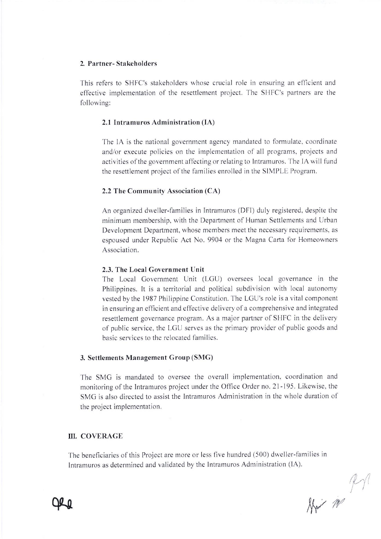## 2. Partner- Stakeholders

This refers to SHFC's stakeholders whose crucial role in ensuring an efficient and effective implementation of the resettlement project. The SHFC's partners are the following:

### 2.1 Intramuros Administration (IA)

The IA is the national government agency mandated to formulate, coordinate and/or execute policies on the implementation of all programs, projects and activities of the government affecting or relating to Intramuros. The IA will fund the resettlement project of the families enrolled in the SIMPLE Program.

## 2.2 The Community Association (CA)

An organized dweller-families in Intramuros (DFI) duly registered. despite the minimum membership, with the Department of Human Settlements and Urban Development Department, whose members meet the necessary requirements. as espoused under Republic Act No. 9904 or the Magna Carta for Homeowners Association.

#### 2,3. The Local Government Unit

The Local Government Unit (LGU) oversees local governance in the Philippines. It is a territorial and political subdivision with local autonomy vested by the 1987 Philippine Constitution. The LGU's role is a vital component in ensuring an efficient and effective delivery of a comprehensive and integrated resettlement governance program. As a major partner of SHFC in the delivery of public service, the LGU serves as the primary provider of public goods and basic services to the relocated families.

#### 3. Settlements Management Group (SMG)

The SMG is mandated to oversee the overall implementation. coordination and monitoring of the Intramuros project under the Office Order no. 21-195. Likewise, the SMG is also directed to assist the Intramuros Administration in the whole duration of the project implementation.

# III. COVERAGE

The beneficiaries of this Project are more or less five hundred (500) dweller-families in Intramuros as determined and validated by the Intramuros Administration (lA).



 $\alpha$ 

 $M$